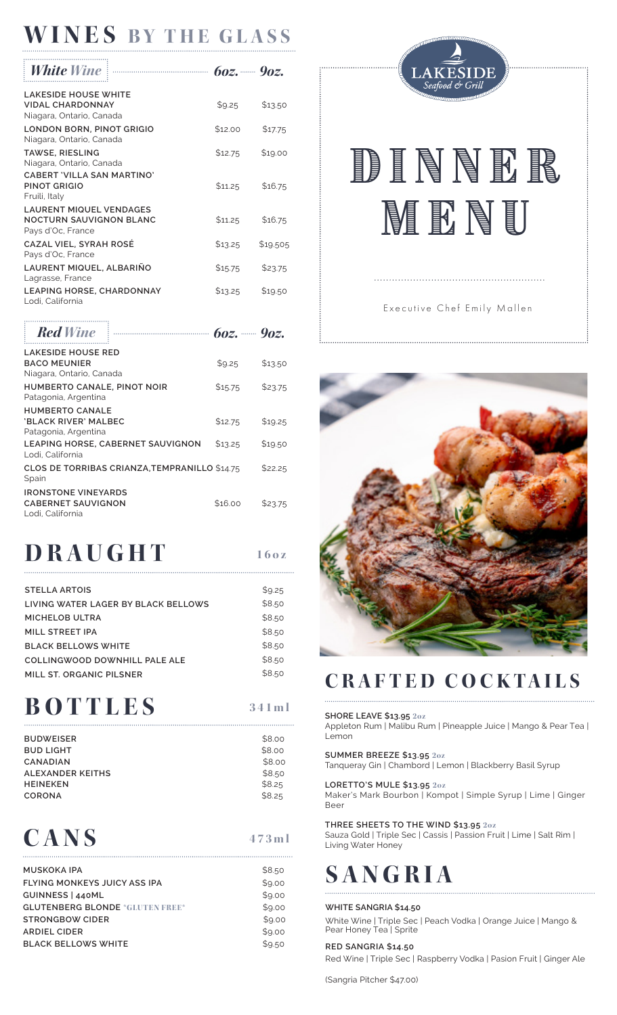## **WINES BY THE GLASS**

| White Wine                                                                            | $60z$ , 402. |          |
|---------------------------------------------------------------------------------------|--------------|----------|
| <b>LAKESIDE HOUSE WHITE</b><br><b>VIDAL CHARDONNAY</b><br>Niagara, Ontario, Canada    | \$9.25       | \$13.50  |
| LONDON BORN, PINOT GRIGIO<br>Niagara, Ontario, Canada                                 | \$12.00      | \$17.75  |
| <b>TAWSE, RIESLING</b><br>Niagara, Ontario, Canada                                    | \$12.75      | \$19.00  |
| CABERT 'VILLA SAN MARTINO'<br><b>PINOT GRIGIO</b><br>Fruili, Italy                    | \$11.25      | \$16.75  |
| <b>LAURENT MIQUEL VENDAGES</b><br><b>NOCTURN SAUVIGNON BLANC</b><br>Pays d'Oc, France | \$11.25      | \$16.75  |
| <b>CAZAL VIEL, SYRAH ROSE</b><br>Pays d'Oc, France                                    | \$13.25      | \$19.505 |
| LAURENT MIQUEL, ALBARIÑO<br>Lagrasse, France                                          | \$15.75      | \$23.75  |
| <b>LEAPING HORSE, CHARDONNAY</b><br>Lodi. California                                  | \$13.25      | \$19.50  |

| <b>Red Wine</b>                                                              | $\frac{1}{2}$ $\frac{1}{2}$ $\frac{1}{2}$ $\frac{1}{2}$ $\frac{1}{2}$ $\frac{1}{2}$ $\frac{1}{2}$ $\frac{1}{2}$ $\frac{1}{2}$ $\frac{1}{2}$ $\frac{1}{2}$ $\frac{1}{2}$ $\frac{1}{2}$ $\frac{1}{2}$ $\frac{1}{2}$ $\frac{1}{2}$ $\frac{1}{2}$ $\frac{1}{2}$ $\frac{1}{2}$ $\frac{1}{2}$ $\frac{1}{2}$ $\frac{1}{2}$ |         |         |
|------------------------------------------------------------------------------|---------------------------------------------------------------------------------------------------------------------------------------------------------------------------------------------------------------------------------------------------------------------------------------------------------------------|---------|---------|
| <b>LAKESIDE HOUSE RED</b><br><b>BACO MEUNIER</b><br>Niagara, Ontario, Canada |                                                                                                                                                                                                                                                                                                                     | \$9.25  | \$13.50 |
| <b>HUMBERTO CANALE, PINOT NOIR</b><br>Patagonia, Argentina                   |                                                                                                                                                                                                                                                                                                                     | \$15.75 | \$23.75 |
| <b>HUMBERTO CANALE</b><br>'BLACK RIVER' MALBEC<br>Patagonia, Argentina       |                                                                                                                                                                                                                                                                                                                     | \$12.75 | \$19.25 |
| Lodi. California                                                             | <b>LEAPING HORSE, CABERNET SAUVIGNON</b>                                                                                                                                                                                                                                                                            | \$13.25 | \$19.50 |
| Spain                                                                        | CLOS DE TORRIBAS CRIANZA, TEMPRANILLO \$14.75                                                                                                                                                                                                                                                                       |         | \$22.25 |
| <b>IRONSTONE VINEYARDS</b><br><b>CABERNET SAUVIGNON</b><br>Lodi. California  |                                                                                                                                                                                                                                                                                                                     | \$16.00 | \$23.75 |

## **DRAUGHT 160z**

| <b>STELLA ARTOIS</b>                | \$9.25 |
|-------------------------------------|--------|
| LIVING WATER LAGER BY BLACK BELLOWS | \$8.50 |
| MICHELOB ULTRA                      | \$8.50 |
| MILL STREET IPA                     | \$8.50 |
| <b>BLACK BELLOWS WHITE</b>          | \$8.50 |
| COLLINGWOOD DOWNHILL PALE ALE       | \$8.50 |
| MILL ST. ORGANIC PILSNER            | \$8.50 |
|                                     |        |

## **BOTTLES 341ml**

| BUDWEISER        | \$8.00 |
|------------------|--------|
| BUD LIGHT        | \$8.00 |
| <b>CANADIAN</b>  | \$8.00 |
| ALEXANDER KEITHS | \$8.50 |
| <b>HEINEKEN</b>  | \$8.25 |
| CORONA           | \$8.25 |
|                  |        |

## **CANS**

| <b>MUSKOKA IPA</b>                     | \$8.50 |
|----------------------------------------|--------|
| <b>FLYING MONKEYS JUICY ASS IPA</b>    | \$9.00 |
| GUINNESS   440ML                       | \$9.00 |
| <b>GLUTENBERG BLONDE *GLUTEN FREE*</b> | \$9.00 |
| <b>STRONGBOW CIDER</b>                 | \$9.00 |
| <b>ARDIEL CIDER</b>                    | \$9.00 |
| <b>BLACK BELLOWS WHITE</b>             | \$9.50 |



# DINNR **MENU**

## Executive Chef Emily Mallen



## **CRAFTED COCKTAILS**

## **SHORE LEAVE \$13.95 2oz**

Appleton Rum | Malibu Rum | Pineapple Juice | Mango & Pear Tea | Lemon

### **SUMMER BREEZE \$13.95 2oz**

Tanqueray Gin | Chambord | Lemon | Blackberry Basil Syrup

#### **LORETTO'S MULE \$13.95 2oz**

Maker's Mark Bourbon | Kompot | Simple Syrup | Lime | Ginger Beer

### **THREE SHEETS TO THE WIND \$13.95 2oz**

Sauza Gold | Triple Sec | Cassis | Passion Fruit | Lime | Salt Rim | Living Water Honey

## **SANGRIA**

#### **WHITE SANGRIA \$14.50**

**473ml**

White Wine | Triple Sec | Peach Vodka | Orange Juice | Mango & Pear Honey Tea<sup>'</sup>| Sprite

### **RED SANGRIA \$14.50**

Red Wine | Triple Sec | Raspberry Vodka | Pasion Fruit | Ginger Ale

(Sangria Pitcher \$47.00)